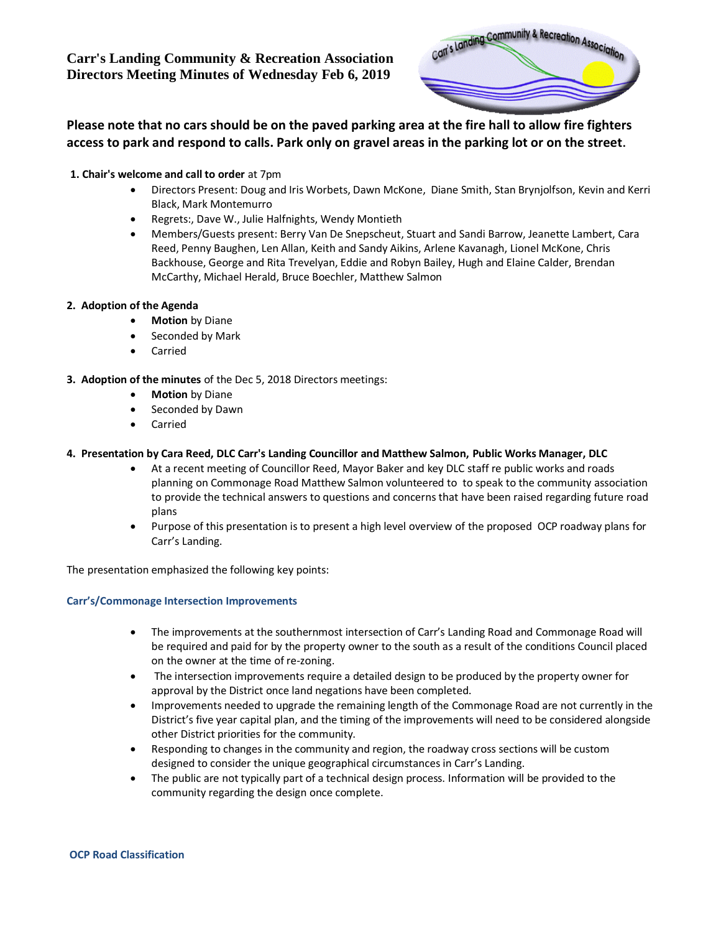**Carr's Landing Community & Recreation Association Directors Meeting Minutes of Wednesday Feb 6, 2019**



**Please note that no cars should be on the paved parking area at the fire hall to allow fire fighters access to park and respond to calls. Park only on gravel areas in the parking lot or on the street.**

### **1. Chair's welcome and call to order** at 7pm

- Directors Present: Doug and Iris Worbets, Dawn McKone, Diane Smith, Stan Brynjolfson, Kevin and Kerri Black, Mark Montemurro
- Regrets:, Dave W., Julie Halfnights, Wendy Montieth
- Members/Guests present: Berry Van De Snepscheut, Stuart and Sandi Barrow, Jeanette Lambert, Cara Reed, Penny Baughen, Len Allan, Keith and Sandy Aikins, Arlene Kavanagh, Lionel McKone, Chris Backhouse, George and Rita Trevelyan, Eddie and Robyn Bailey, Hugh and Elaine Calder, Brendan McCarthy, Michael Herald, Bruce Boechler, Matthew Salmon

## **2. Adoption of the Agenda**

- **Motion** by Diane
- Seconded by Mark
- Carried
- **3. Adoption of the minutes** of the Dec 5, 2018 Directors meetings:
	- **Motion** by Diane
	- Seconded by Dawn
	- Carried

## **4. Presentation by Cara Reed, DLC Carr's Landing Councillor and Matthew Salmon, Public Works Manager, DLC**

- At a recent meeting of Councillor Reed, Mayor Baker and key DLC staff re public works and roads planning on Commonage Road Matthew Salmon volunteered to to speak to the community association to provide the technical answers to questions and concerns that have been raised regarding future road plans
- Purpose of this presentation is to present a high level overview of the proposed OCP roadway plans for Carr's Landing.

The presentation emphasized the following key points:

#### **Carr's/Commonage Intersection Improvements**

- The improvements at the southernmost intersection of Carr's Landing Road and Commonage Road will be required and paid for by the property owner to the south as a result of the conditions Council placed on the owner at the time of re-zoning.
- The intersection improvements require a detailed design to be produced by the property owner for approval by the District once land negations have been completed.
- Improvements needed to upgrade the remaining length of the Commonage Road are not currently in the District's five year capital plan, and the timing of the improvements will need to be considered alongside other District priorities for the community.
- Responding to changes in the community and region, the roadway cross sections will be custom designed to consider the unique geographical circumstances in Carr's Landing.
- The public are not typically part of a technical design process. Information will be provided to the community regarding the design once complete.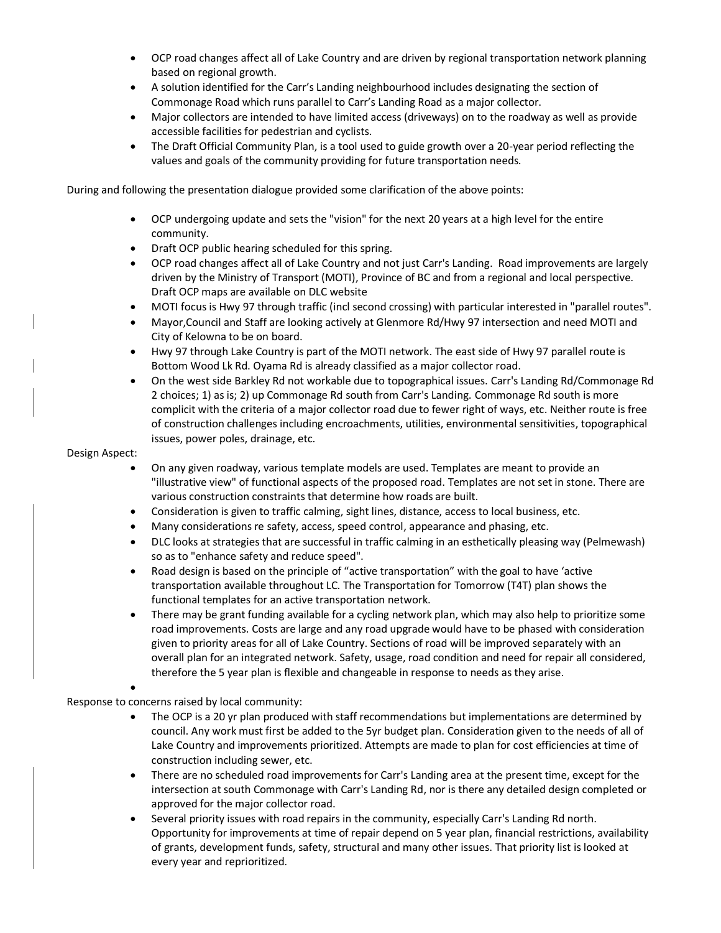- OCP road changes affect all of Lake Country and are driven by regional transportation network planning based on regional growth.
- A solution identified for the Carr's Landing neighbourhood includes designating the section of Commonage Road which runs parallel to Carr's Landing Road as a major collector.
- Major collectors are intended to have limited access (driveways) on to the roadway as well as provide accessible facilities for pedestrian and cyclists.
- The Draft Official Community Plan, is a tool used to guide growth over a 20-year period reflecting the values and goals of the community providing for future transportation needs.

During and following the presentation dialogue provided some clarification of the above points:

- OCP undergoing update and sets the "vision" for the next 20 years at a high level for the entire community.
- Draft OCP public hearing scheduled for this spring.
- OCP road changes affect all of Lake Country and not just Carr's Landing. Road improvements are largely driven by the Ministry of Transport (MOTI), Province of BC and from a regional and local perspective. Draft OCP maps are available on DLC website
- MOTI focus is Hwy 97 through traffic (incl second crossing) with particular interested in "parallel routes".
- Mayor,Council and Staff are looking actively at Glenmore Rd/Hwy 97 intersection and need MOTI and City of Kelowna to be on board.
- Hwy 97 through Lake Country is part of the MOTI network. The east side of Hwy 97 parallel route is Bottom Wood Lk Rd. Oyama Rd is already classified as a major collector road.
- On the west side Barkley Rd not workable due to topographical issues. Carr's Landing Rd/Commonage Rd 2 choices; 1) as is; 2) up Commonage Rd south from Carr's Landing. Commonage Rd south is more complicit with the criteria of a major collector road due to fewer right of ways, etc. Neither route is free of construction challenges including encroachments, utilities, environmental sensitivities, topographical issues, power poles, drainage, etc.

#### Design Aspect:

- On any given roadway, various template models are used. Templates are meant to provide an "illustrative view" of functional aspects of the proposed road. Templates are not set in stone. There are various construction constraints that determine how roads are built.
- Consideration is given to traffic calming, sight lines, distance, access to local business, etc.
- Many considerations re safety, access, speed control, appearance and phasing, etc.
- DLC looks at strategies that are successful in traffic calming in an esthetically pleasing way (Pelmewash) so as to "enhance safety and reduce speed".
- Road design is based on the principle of "active transportation" with the goal to have 'active transportation available throughout LC. The Transportation for Tomorrow (T4T) plan shows the functional templates for an active transportation network.
- There may be grant funding available for a cycling network plan, which may also help to prioritize some road improvements. Costs are large and any road upgrade would have to be phased with consideration given to priority areas for all of Lake Country. Sections of road will be improved separately with an overall plan for an integrated network. Safety, usage, road condition and need for repair all considered, therefore the 5 year plan is flexible and changeable in response to needs as they arise.

Response to concerns raised by local community:

•

- The OCP is a 20 yr plan produced with staff recommendations but implementations are determined by council. Any work must first be added to the 5yr budget plan. Consideration given to the needs of all of Lake Country and improvements prioritized. Attempts are made to plan for cost efficiencies at time of construction including sewer, etc.
- There are no scheduled road improvements for Carr's Landing area at the present time, except for the intersection at south Commonage with Carr's Landing Rd, nor is there any detailed design completed or approved for the major collector road.
- Several priority issues with road repairs in the community, especially Carr's Landing Rd north. Opportunity for improvements at time of repair depend on 5 year plan, financial restrictions, availability of grants, development funds, safety, structural and many other issues. That priority list is looked at every year and reprioritized.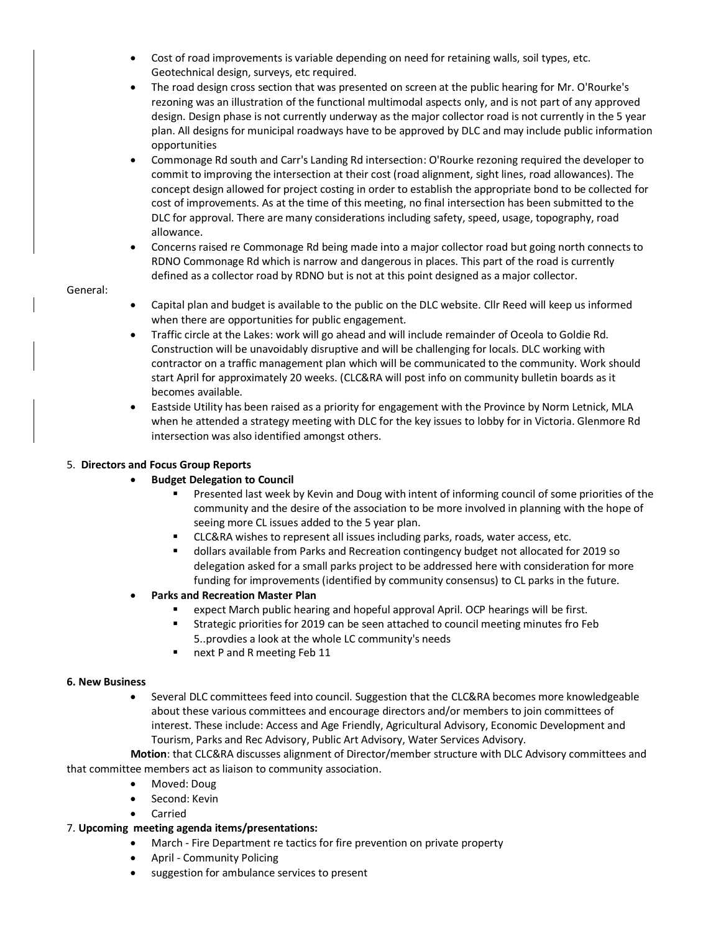- Cost of road improvements is variable depending on need for retaining walls, soil types, etc. Geotechnical design, surveys, etc required.
- The road design cross section that was presented on screen at the public hearing for Mr. O'Rourke's rezoning was an illustration of the functional multimodal aspects only, and is not part of any approved design. Design phase is not currently underway as the major collector road is not currently in the 5 year plan. All designs for municipal roadways have to be approved by DLC and may include public information opportunities
- Commonage Rd south and Carr's Landing Rd intersection: O'Rourke rezoning required the developer to commit to improving the intersection at their cost (road alignment, sight lines, road allowances). The concept design allowed for project costing in order to establish the appropriate bond to be collected for cost of improvements. As at the time of this meeting, no final intersection has been submitted to the DLC for approval. There are many considerations including safety, speed, usage, topography, road allowance.
- Concerns raised re Commonage Rd being made into a major collector road but going north connects to RDNO Commonage Rd which is narrow and dangerous in places. This part of the road is currently defined as a collector road by RDNO but is not at this point designed as a major collector.

#### General:

- Capital plan and budget is available to the public on the DLC website. Cllr Reed will keep us informed when there are opportunities for public engagement.
- Traffic circle at the Lakes: work will go ahead and will include remainder of Oceola to Goldie Rd. Construction will be unavoidably disruptive and will be challenging for locals. DLC working with contractor on a traffic management plan which will be communicated to the community. Work should start April for approximately 20 weeks. (CLC&RA will post info on community bulletin boards as it becomes available.
- Eastside Utility has been raised as a priority for engagement with the Province by Norm Letnick, MLA when he attended a strategy meeting with DLC for the key issues to lobby for in Victoria. Glenmore Rd intersection was also identified amongst others.

## 5. **Directors and Focus Group Reports**

- **Budget Delegation to Council**
	- Presented last week by Kevin and Doug with intent of informing council of some priorities of the community and the desire of the association to be more involved in planning with the hope of seeing more CL issues added to the 5 year plan.
	- CLC&RA wishes to represent all issues including parks, roads, water access, etc.
	- dollars available from Parks and Recreation contingency budget not allocated for 2019 so delegation asked for a small parks project to be addressed here with consideration for more funding for improvements (identified by community consensus) to CL parks in the future.
- **Parks and Recreation Master Plan**
	- expect March public hearing and hopeful approval April. OCP hearings will be first.
	- **EXECUTE:** Strategic priorities for 2019 can be seen attached to council meeting minutes fro Feb 5..provdies a look at the whole LC community's needs
	- next P and R meeting Feb 11

#### **6. New Business**

• Several DLC committees feed into council. Suggestion that the CLC&RA becomes more knowledgeable about these various committees and encourage directors and/or members to join committees of interest. These include: Access and Age Friendly, Agricultural Advisory, Economic Development and Tourism, Parks and Rec Advisory, Public Art Advisory, Water Services Advisory.

 **Motion**: that CLC&RA discusses alignment of Director/member structure with DLC Advisory committees and that committee members act as liaison to community association.

- Moved: Doug
- Second: Kevin
- **Carried**

#### 7. **Upcoming meeting agenda items/presentations:**

- March Fire Department re tactics for fire prevention on private property
- April Community Policing
- suggestion for ambulance services to present